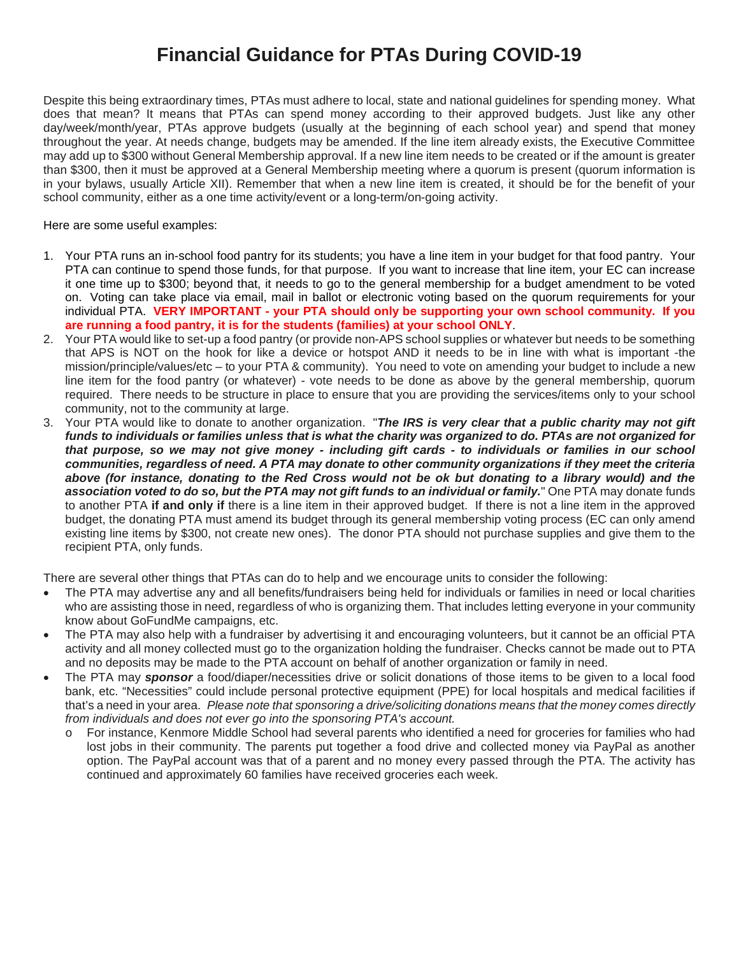# **Financial Guidance for PTAs During COVID-19**

Despite this being extraordinary times, PTAs must adhere to local, state and national guidelines for spending money. What does that mean? It means that PTAs can spend money according to their approved budgets. Just like any other day/week/month/year, PTAs approve budgets (usually at the beginning of each school year) and spend that money throughout the year. At needs change, budgets may be amended. If the line item already exists, the Executive Committee may add up to \$300 without General Membership approval. If a new line item needs to be created or if the amount is greater than \$300, then it must be approved at a General Membership meeting where a quorum is present (quorum information is in your bylaws, usually Article XII). Remember that when a new line item is created, it should be for the benefit of your school community, either as a one time activity/event or a long-term/on-going activity.

Here are some useful examples:

- 1. Your PTA runs an in-school food pantry for its students; you have a line item in your budget for that food pantry. Your PTA can continue to spend those funds, for that purpose. If you want to increase that line item, your EC can increase it one time up to \$300; beyond that, it needs to go to the general membership for a budget amendment to be voted on. Voting can take place via email, mail in ballot or electronic voting based on the quorum requirements for your individual PTA. **VERY IMPORTANT - your PTA should only be supporting your own school community. If you are running a food pantry, it is for the students (families) at your school ONLY**.
- 2. Your PTA would like to set-up a food pantry (or provide non-APS school supplies or whatever but needs to be something that APS is NOT on the hook for like a device or hotspot AND it needs to be in line with what is important -the mission/principle/values/etc – to your PTA & community). You need to vote on amending your budget to include a new line item for the food pantry (or whatever) - vote needs to be done as above by the general membership, quorum required. There needs to be structure in place to ensure that you are providing the services/items only to your school community, not to the community at large.
- 3. Your PTA would like to donate to another organization. "*The IRS is very clear that a public charity may not gift funds to individuals or families unless that is what the charity was organized to do. PTAs are not organized for that purpose, so we may not give money - including gift cards - to individuals or families in our school communities, regardless of need. A PTA may donate to other community organizations if they meet the criteria above (for instance, donating to the Red Cross would not be ok but donating to a library would) and the association voted to do so, but the PTA may not gift funds to an individual or family.*" One PTA may donate funds to another PTA **if and only if** there is a line item in their approved budget. If there is not a line item in the approved budget, the donating PTA must amend its budget through its general membership voting process (EC can only amend existing line items by \$300, not create new ones). The donor PTA should not purchase supplies and give them to the recipient PTA, only funds.

There are several other things that PTAs can do to help and we encourage units to consider the following:

- The PTA may advertise any and all benefits/fundraisers being held for individuals or families in need or local charities who are assisting those in need, regardless of who is organizing them. That includes letting everyone in your community know about GoFundMe campaigns, etc.
- The PTA may also help with a fundraiser by advertising it and encouraging volunteers, but it cannot be an official PTA activity and all money collected must go to the organization holding the fundraiser. Checks cannot be made out to PTA and no deposits may be made to the PTA account on behalf of another organization or family in need.
- The PTA may *sponsor* a food/diaper/necessities drive or solicit donations of those items to be given to a local food bank, etc. "Necessities" could include personal protective equipment (PPE) for local hospitals and medical facilities if that's a need in your area. *Please note that sponsoring a drive/soliciting donations means that the money comes directly from individuals and does not ever go into the sponsoring PTA's account.*
	- o For instance, Kenmore Middle School had several parents who identified a need for groceries for families who had lost jobs in their community. The parents put together a food drive and collected money via PayPal as another option. The PayPal account was that of a parent and no money every passed through the PTA. The activity has continued and approximately 60 families have received groceries each week.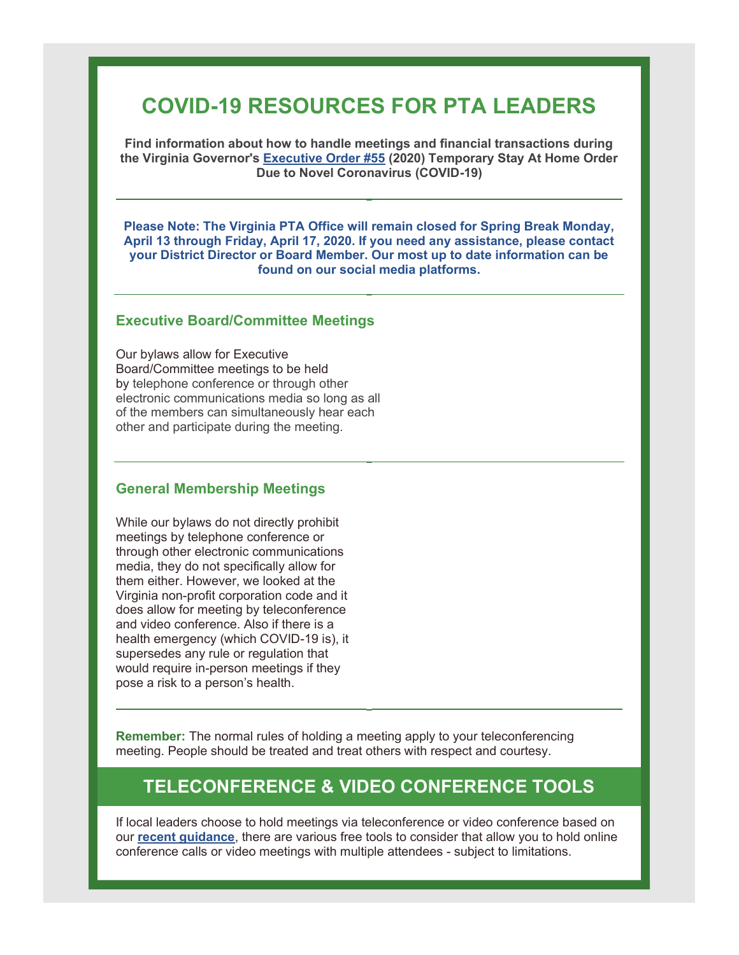# COVID-19 RESOURCES FOR PTA LEADERS

Find information about how to handle meetings and financial transactions during the Virginia Governor's Executive Order #55 (2020) Temporary Stay At Home Order Due to Novel Coronavirus (COVID-19)

Please Note: The Virginia PTA Office will remain closed for Spring Break Monday, April 13 through Friday, April 17, 2020. If you need any assistance, please contact your District Director or Board Member. Our most up to date information can be found on our social media platforms.

#### Executive Board/Committee Meetings

Our bylaws allow for Executive Board/Committee meetings to be held by telephone conference or through other electronic communications media so long as all of the members can simultaneously hear each other and participate during the meeting.

#### General Membership Meetings

While our bylaws do not directly prohibit meetings by telephone conference or through other electronic communications media, they do not specifically allow for them either. However, we looked at the Virginia non-profit corporation code and it does allow for meeting by teleconference and video conference. Also if there is a health emergency (which COVID-19 is), it supersedes any rule or regulation that would require in-person meetings if they pose a risk to a person's health.

Remember: The normal rules of holding a meeting apply to your teleconferencing meeting. People should be treated and treat others with respect and courtesy.

# TELECONFERENCE & VIDEO CONFERENCE TOOLS

If local leaders choose to hold meetings via teleconference or video conference based on our recent guidance, there are various free tools to consider that allow you to hold online conference calls or video meetings with multiple attendees - subject to limitations.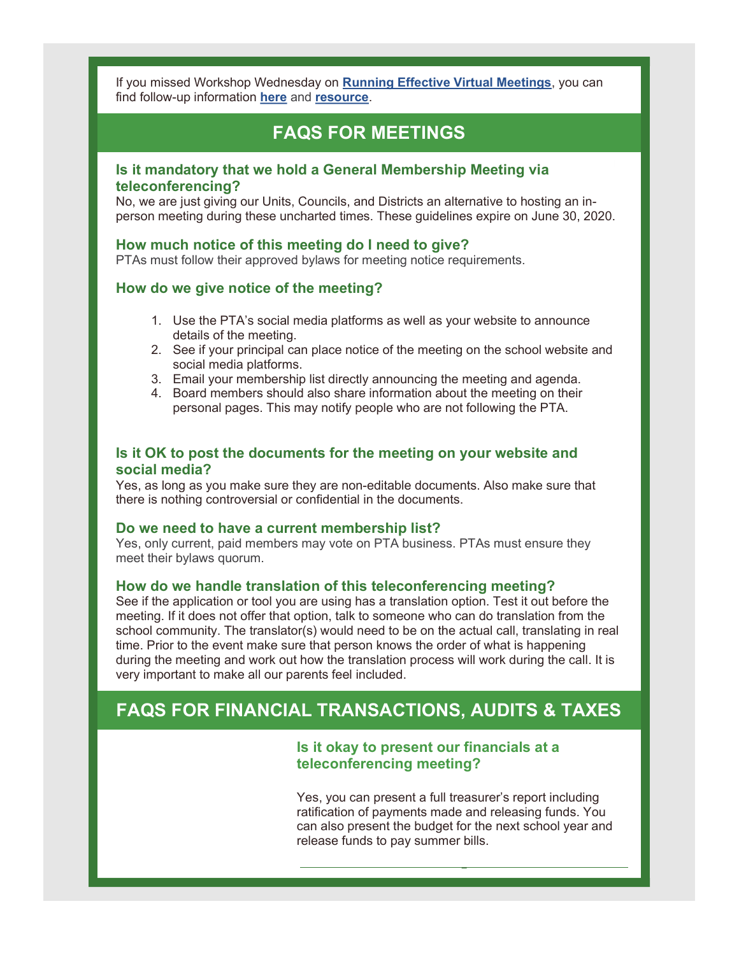If you missed Workshop Wednesday on Running Effective Virtual Meetings, you can find follow-up information here and resource.

# FAQS FOR MEETINGS

## Is it mandatory that we hold a General Membership Meeting via teleconferencing?

No, we are just giving our Units, Councils, and Districts an alternative to hosting an inperson meeting during these uncharted times. These guidelines expire on June 30, 2020.

#### How much notice of this meeting do I need to give?

PTAs must follow their approved bylaws for meeting notice requirements.

## How do we give notice of the meeting?

- 1. Use the PTA's social media platforms as well as your website to announce details of the meeting.
- 2. See if your principal can place notice of the meeting on the school website and social media platforms.
- 3. Email your membership list directly announcing the meeting and agenda.
- 4. Board members should also share information about the meeting on their personal pages. This may notify people who are not following the PTA.

## Is it OK to post the documents for the meeting on your website and social media?

Yes, as long as you make sure they are non-editable documents. Also make sure that there is nothing controversial or confidential in the documents.

#### Do we need to have a current membership list?

Yes, only current, paid members may vote on PTA business. PTAs must ensure they meet their bylaws quorum.

#### How do we handle translation of this teleconferencing meeting?

See if the application or tool you are using has a translation option. Test it out before the meeting. If it does not offer that option, talk to someone who can do translation from the school community. The translator(s) would need to be on the actual call, translating in real time. Prior to the event make sure that person knows the order of what is happening during the meeting and work out how the translation process will work during the call. It is very important to make all our parents feel included.

# FAQS FOR FINANCIAL TRANSACTIONS, AUDITS & TAXES

# Is it okay to present our financials at a teleconferencing meeting?

Yes, you can present a full treasurer's report including ratification of payments made and releasing funds. You can also present the budget for the next school year and release funds to pay summer bills.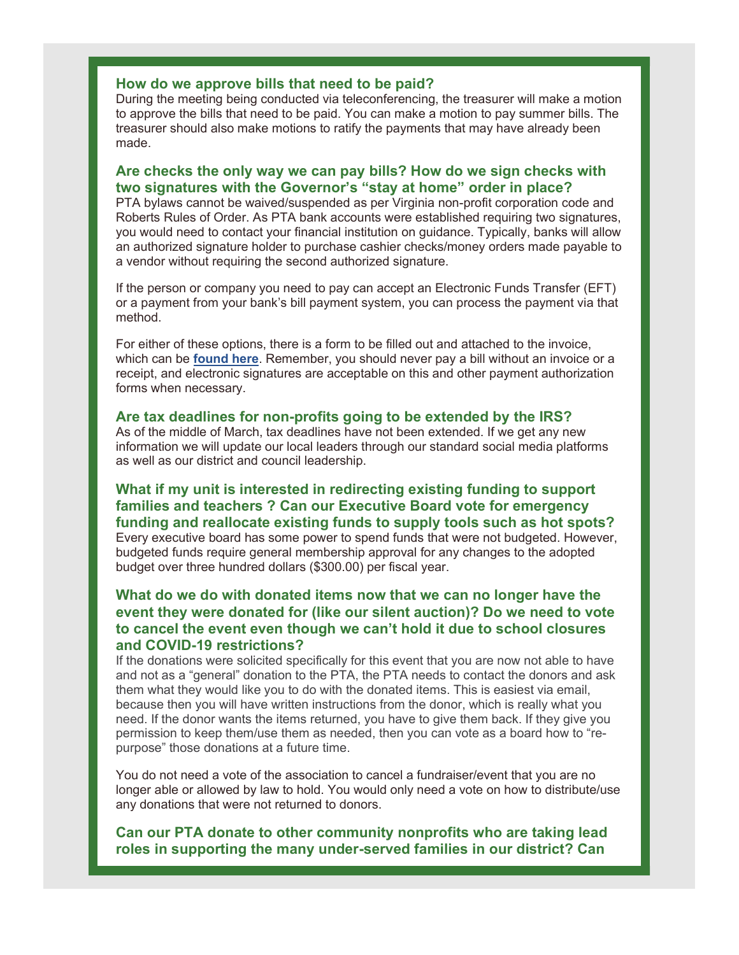#### How do we approve bills that need to be paid?

During the meeting being conducted via teleconferencing, the treasurer will make a motion to approve the bills that need to be paid. You can make a motion to pay summer bills. The treasurer should also make motions to ratify the payments that may have already been made.

## Are checks the only way we can pay bills? How do we sign checks with two signatures with the Governor's "stay at home" order in place?

PTA bylaws cannot be waived/suspended as per Virginia non-profit corporation code and Roberts Rules of Order. As PTA bank accounts were established requiring two signatures, you would need to contact your financial institution on guidance. Typically, banks will allow an authorized signature holder to purchase cashier checks/money orders made payable to a vendor without requiring the second authorized signature.

If the person or company you need to pay can accept an Electronic Funds Transfer (EFT) or a payment from your bank's bill payment system, you can process the payment via that method.

For either of these options, there is a form to be filled out and attached to the invoice, which can be found here. Remember, you should never pay a bill without an invoice or a receipt, and electronic signatures are acceptable on this and other payment authorization forms when necessary.

#### Are tax deadlines for non-profits going to be extended by the IRS?

As of the middle of March, tax deadlines have not been extended. If we get any new information we will update our local leaders through our standard social media platforms as well as our district and council leadership.

# What if my unit is interested in redirecting existing funding to support families and teachers ? Can our Executive Board vote for emergency funding and reallocate existing funds to supply tools such as hot spots?

Every executive board has some power to spend funds that were not budgeted. However, budgeted funds require general membership approval for any changes to the adopted budget over three hundred dollars (\$300.00) per fiscal year.

# What do we do with donated items now that we can no longer have the event they were donated for (like our silent auction)? Do we need to vote to cancel the event even though we can't hold it due to school closures and COVID-19 restrictions?

If the donations were solicited specifically for this event that you are now not able to have and not as a "general" donation to the PTA, the PTA needs to contact the donors and ask them what they would like you to do with the donated items. This is easiest via email, because then you will have written instructions from the donor, which is really what you need. If the donor wants the items returned, you have to give them back. If they give you permission to keep them/use them as needed, then you can vote as a board how to "repurpose" those donations at a future time.

You do not need a vote of the association to cancel a fundraiser/event that you are no longer able or allowed by law to hold. You would only need a vote on how to distribute/use any donations that were not returned to donors.

### Can our PTA donate to other community nonprofits who are taking lead roles in supporting the many under-served families in our district? Can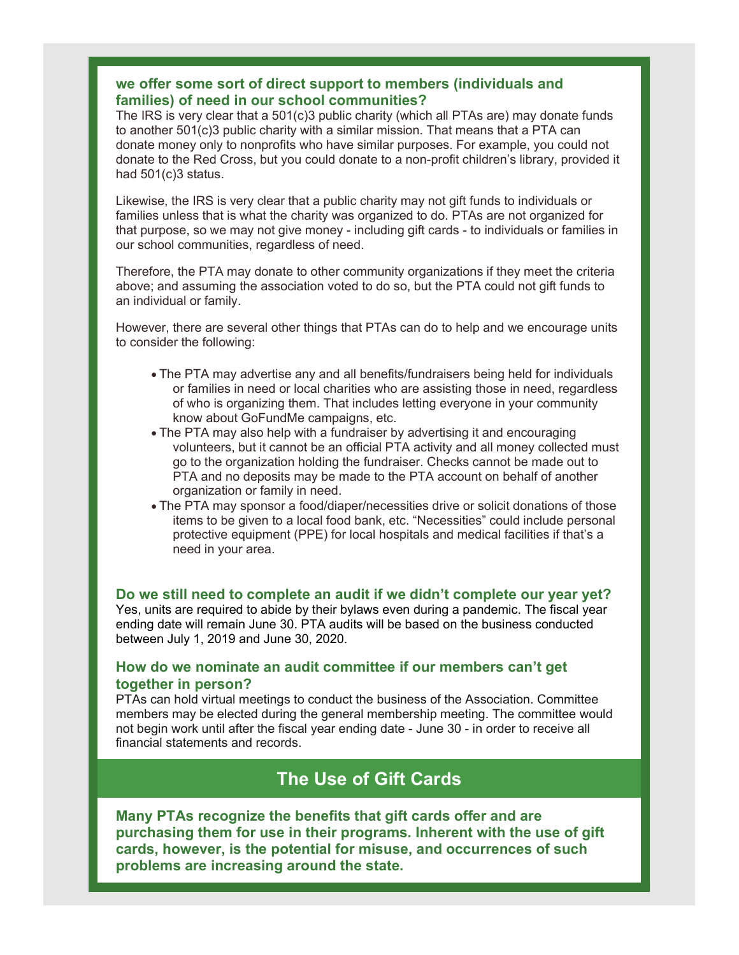# we offer some sort of direct support to members (individuals and families) of need in our school communities?

The IRS is very clear that a  $501(c)3$  public charity (which all PTAs are) may donate funds to another 501(c)3 public charity with a similar mission. That means that a PTA can donate money only to nonprofits who have similar purposes. For example, you could not donate to the Red Cross, but you could donate to a non-profit children's library, provided it had 501(c)3 status.

Likewise, the IRS is very clear that a public charity may not gift funds to individuals or families unless that is what the charity was organized to do. PTAs are not organized for that purpose, so we may not give money - including gift cards - to individuals or families in our school communities, regardless of need.

Therefore, the PTA may donate to other community organizations if they meet the criteria above; and assuming the association voted to do so, but the PTA could not gift funds to an individual or family.

However, there are several other things that PTAs can do to help and we encourage units to consider the following:

- The PTA may advertise any and all benefits/fundraisers being held for individuals or families in need or local charities who are assisting those in need, regardless of who is organizing them. That includes letting everyone in your community know about GoFundMe campaigns, etc.
- The PTA may also help with a fundraiser by advertising it and encouraging volunteers, but it cannot be an official PTA activity and all money collected must go to the organization holding the fundraiser. Checks cannot be made out to PTA and no deposits may be made to the PTA account on behalf of another organization or family in need.
- The PTA may sponsor a food/diaper/necessities drive or solicit donations of those items to be given to a local food bank, etc. "Necessities" could include personal protective equipment (PPE) for local hospitals and medical facilities if that's a need in your area.

Do we still need to complete an audit if we didn't complete our year yet? Yes, units are required to abide by their bylaws even during a pandemic. The fiscal year ending date will remain June 30. PTA audits will be based on the business conducted between July 1, 2019 and June 30, 2020.

# How do we nominate an audit committee if our members can't get together in person?

PTAs can hold virtual meetings to conduct the business of the Association. Committee members may be elected during the general membership meeting. The committee would not begin work until after the fiscal year ending date - June 30 - in order to receive all financial statements and records.

# The Use of Gift Cards

Many PTAs recognize the benefits that gift cards offer and are purchasing them for use in their programs. Inherent with the use of gift cards, however, is the potential for misuse, and occurrences of such problems are increasing around the state.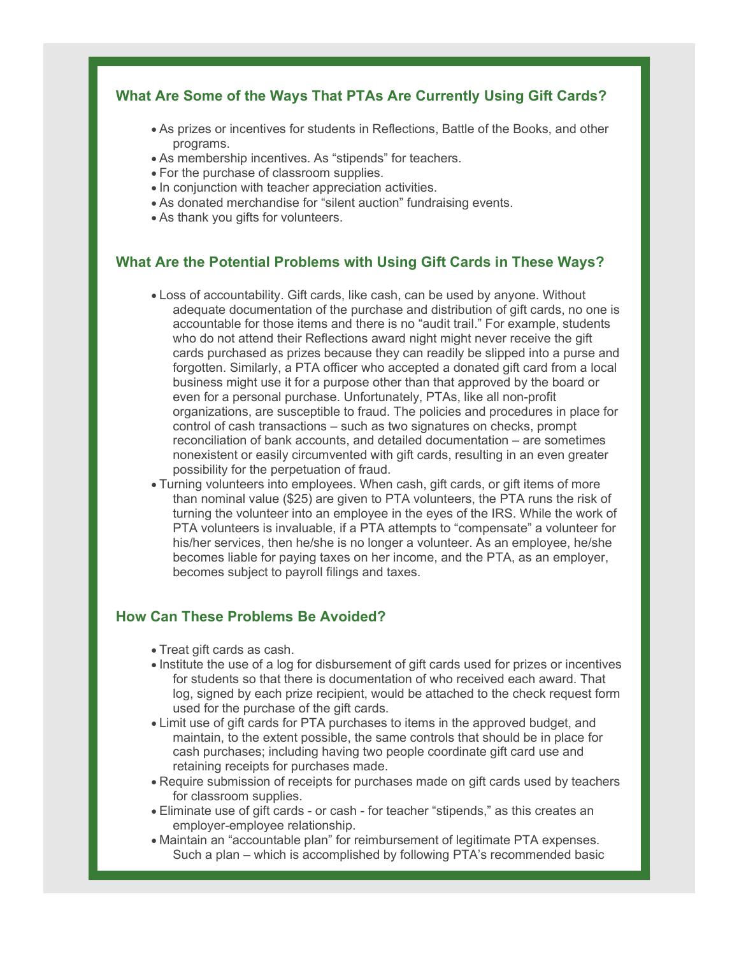# What Are Some of the Ways That PTAs Are Currently Using Gift Cards?

- As prizes or incentives for students in Reflections, Battle of the Books, and other programs.
- As membership incentives. As "stipends" for teachers.
- For the purchase of classroom supplies.
- In conjunction with teacher appreciation activities.
- As donated merchandise for "silent auction" fundraising events.
- As thank you gifts for volunteers.

## What Are the Potential Problems with Using Gift Cards in These Ways?

- Loss of accountability. Gift cards, like cash, can be used by anyone. Without adequate documentation of the purchase and distribution of gift cards, no one is accountable for those items and there is no "audit trail." For example, students who do not attend their Reflections award night might never receive the gift cards purchased as prizes because they can readily be slipped into a purse and forgotten. Similarly, a PTA officer who accepted a donated gift card from a local business might use it for a purpose other than that approved by the board or even for a personal purchase. Unfortunately, PTAs, like all non-profit organizations, are susceptible to fraud. The policies and procedures in place for control of cash transactions – such as two signatures on checks, prompt reconciliation of bank accounts, and detailed documentation – are sometimes nonexistent or easily circumvented with gift cards, resulting in an even greater possibility for the perpetuation of fraud.
- Turning volunteers into employees. When cash, gift cards, or gift items of more than nominal value (\$25) are given to PTA volunteers, the PTA runs the risk of turning the volunteer into an employee in the eyes of the IRS. While the work of PTA volunteers is invaluable, if a PTA attempts to "compensate" a volunteer for his/her services, then he/she is no longer a volunteer. As an employee, he/she becomes liable for paying taxes on her income, and the PTA, as an employer, becomes subject to payroll filings and taxes.

# How Can These Problems Be Avoided?

- Treat gift cards as cash.
- Institute the use of a log for disbursement of gift cards used for prizes or incentives for students so that there is documentation of who received each award. That log, signed by each prize recipient, would be attached to the check request form used for the purchase of the gift cards.
- Limit use of gift cards for PTA purchases to items in the approved budget, and maintain, to the extent possible, the same controls that should be in place for cash purchases; including having two people coordinate gift card use and retaining receipts for purchases made.
- Require submission of receipts for purchases made on gift cards used by teachers for classroom supplies.
- Eliminate use of gift cards or cash for teacher "stipends," as this creates an employer-employee relationship.
- Maintain an "accountable plan" for reimbursement of legitimate PTA expenses. Such a plan – which is accomplished by following PTA's recommended basic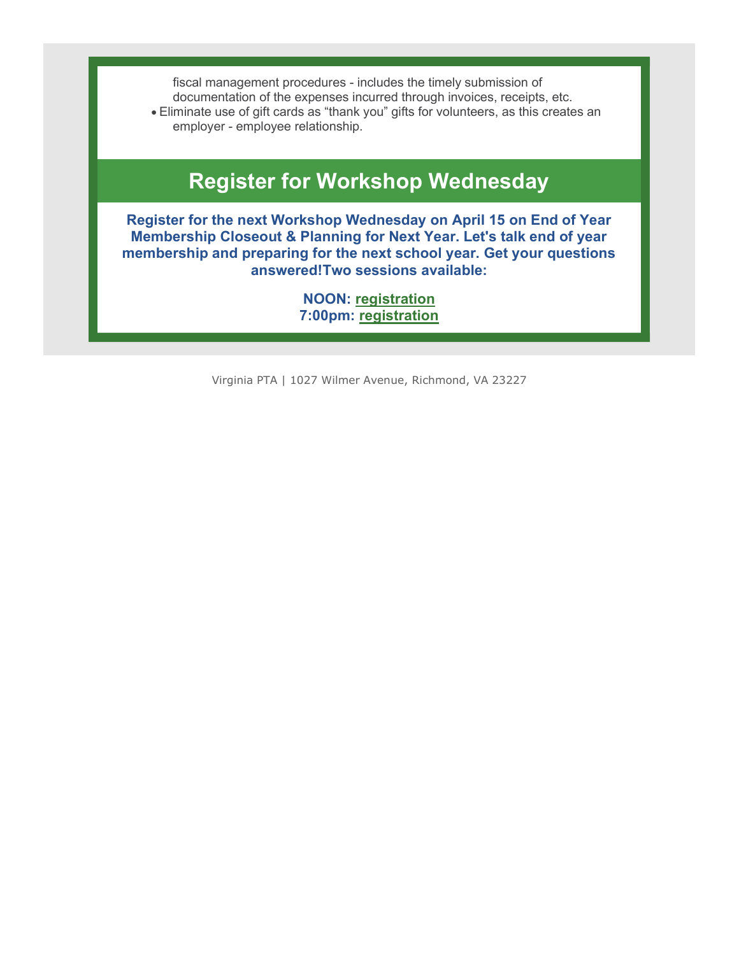fiscal management procedures - includes the timely submission of documentation of the expenses incurred through invoices, receipts, etc. Eliminate use of gift cards as "thank you" gifts for volunteers, as this creates an employer - employee relationship.

# Register for Workshop Wednesday

Register for the next Workshop Wednesday on April 15 on End of Year Membership Closeout & Planning for Next Year. Let's talk end of year membership and preparing for the next school year. Get your questions answered!Two sessions available:

> NOON: registration 7:00pm: registration

Virginia PTA | 1027 Wilmer Avenue, Richmond, VA 23227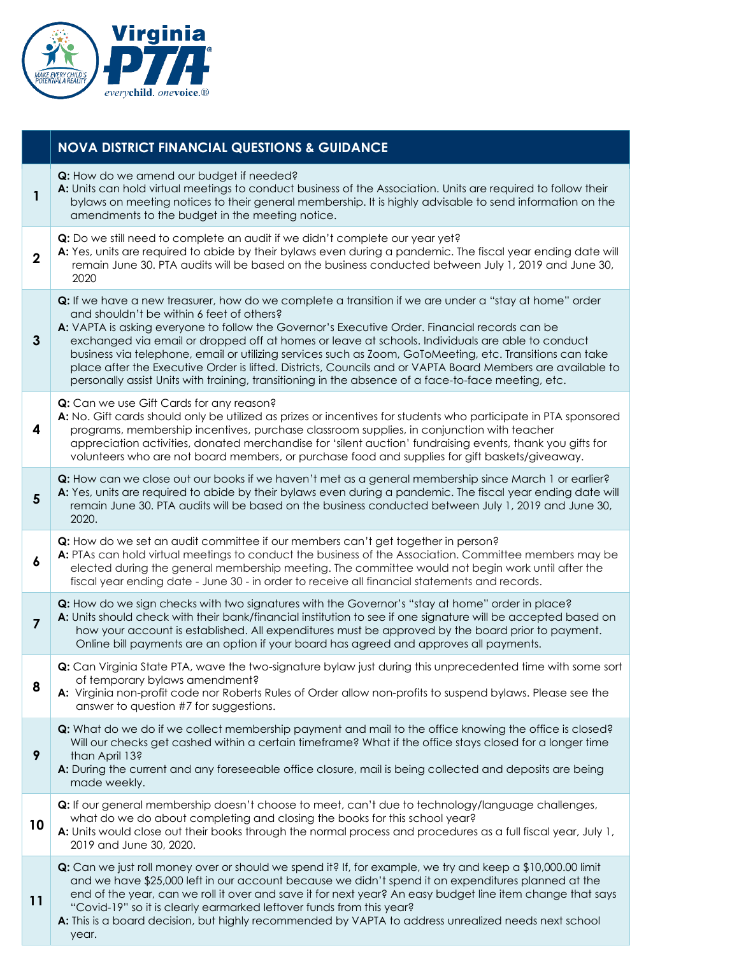

|                | <b>NOVA DISTRICT FINANCIAL QUESTIONS &amp; GUIDANCE</b>                                                                                                                                                                                                                                                                                                                                                                                                                                                                                                                                                                                                                                   |
|----------------|-------------------------------------------------------------------------------------------------------------------------------------------------------------------------------------------------------------------------------------------------------------------------------------------------------------------------------------------------------------------------------------------------------------------------------------------------------------------------------------------------------------------------------------------------------------------------------------------------------------------------------------------------------------------------------------------|
| 1              | Q: How do we amend our budget if needed?<br>A: Units can hold virtual meetings to conduct business of the Association. Units are required to follow their<br>bylaws on meeting notices to their general membership. It is highly advisable to send information on the<br>amendments to the budget in the meeting notice.                                                                                                                                                                                                                                                                                                                                                                  |
| $\overline{2}$ | Q: Do we still need to complete an audit if we didn't complete our year yet?<br>A: Yes, units are required to abide by their bylaws even during a pandemic. The fiscal year ending date will<br>remain June 30. PTA audits will be based on the business conducted between July 1, 2019 and June 30,<br>2020                                                                                                                                                                                                                                                                                                                                                                              |
| 3              | Q: If we have a new treasurer, how do we complete a transition if we are under a "stay at home" order<br>and shouldn't be within 6 feet of others?<br>A: VAPTA is asking everyone to follow the Governor's Executive Order. Financial records can be<br>exchanged via email or dropped off at homes or leave at schools. Individuals are able to conduct<br>business via telephone, email or utilizing services such as Zoom, GoToMeeting, etc. Transitions can take<br>place after the Executive Order is lifted. Districts, Councils and or VAPTA Board Members are available to<br>personally assist Units with training, transitioning in the absence of a face-to-face meeting, etc. |
| 4              | Q: Can we use Gift Cards for any reason?<br>A: No. Gift cards should only be utilized as prizes or incentives for students who participate in PTA sponsored<br>programs, membership incentives, purchase classroom supplies, in conjunction with teacher<br>appreciation activities, donated merchandise for 'silent auction' fundraising events, thank you gifts for<br>volunteers who are not board members, or purchase food and supplies for gift baskets/giveaway.                                                                                                                                                                                                                   |
| 5              | Q: How can we close out our books if we haven't met as a general membership since March 1 or earlier?<br>A: Yes, units are required to abide by their bylaws even during a pandemic. The fiscal year ending date will<br>remain June 30. PTA audits will be based on the business conducted between July 1, 2019 and June 30,<br>2020.                                                                                                                                                                                                                                                                                                                                                    |
| 6              | Q: How do we set an audit committee if our members can't get together in person?<br>A: PTAs can hold virtual meetings to conduct the business of the Association. Committee members may be<br>elected during the general membership meeting. The committee would not begin work until after the<br>fiscal year ending date - June 30 - in order to receive all financial statements and records.                                                                                                                                                                                                                                                                                          |
| $\overline{7}$ | Q: How do we sign checks with two signatures with the Governor's "stay at home" order in place?<br>A: Units should check with their bank/financial institution to see if one signature will be accepted based on<br>how your account is established. All expenditures must be approved by the board prior to payment.<br>Online bill payments are an option if your board has agreed and approves all payments.                                                                                                                                                                                                                                                                           |
| 8              | Q: Can Virginia State PTA, wave the two-signature bylaw just during this unprecedented time with some sort<br>of temporary bylaws amendment?<br>A: Virginia non-profit code nor Roberts Rules of Order allow non-profits to suspend bylaws. Please see the<br>answer to question #7 for suggestions.                                                                                                                                                                                                                                                                                                                                                                                      |
| 9              | <b>Q:</b> What do we do if we collect membership payment and mail to the office knowing the office is closed?<br>Will our checks get cashed within a certain timeframe? What if the office stays closed for a longer time<br>than April 13?<br>A: During the current and any foreseeable office closure, mail is being collected and deposits are being<br>made weekly.                                                                                                                                                                                                                                                                                                                   |
| 10             | Q: If our general membership doesn't choose to meet, can't due to technology/language challenges,<br>what do we do about completing and closing the books for this school year?<br>A: Units would close out their books through the normal process and procedures as a full fiscal year, July 1,<br>2019 and June 30, 2020.                                                                                                                                                                                                                                                                                                                                                               |
| 11             | <b>Q:</b> Can we just roll money over or should we spend it? If, for example, we try and keep a \$10,000.00 limit<br>and we have \$25,000 left in our account because we didn't spend it on expenditures planned at the<br>end of the year, can we roll it over and save it for next year? An easy budget line item change that says<br>"Covid-19" so it is clearly earmarked leftover funds from this year?<br>A: This is a board decision, but highly recommended by VAPTA to address unrealized needs next school<br>year.                                                                                                                                                             |